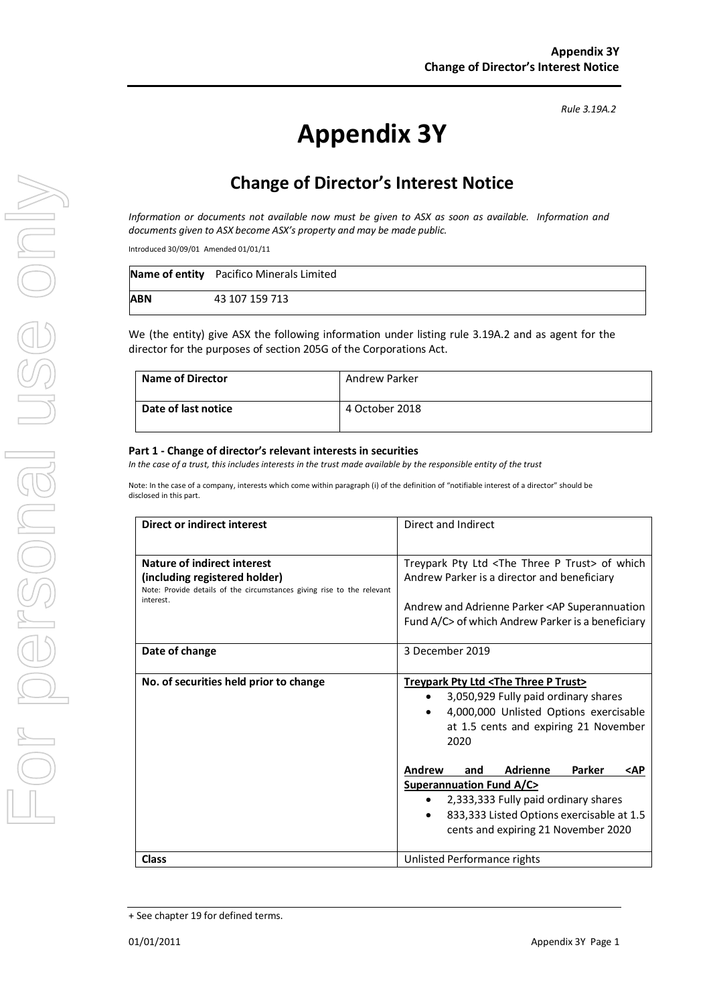# **Appendix 3Y**

# **Change of Director's Interest Notice**

*Information or documents not available now must be given to ASX as soon as available. Information and documents given to ASX become ASX's property and may be made public.*

Introduced 30/09/01 Amended 01/01/11

|            | Name of entity Pacifico Minerals Limited |
|------------|------------------------------------------|
| <b>ABN</b> | 43 107 159 713                           |

We (the entity) give ASX the following information under listing rule 3.19A.2 and as agent for the director for the purposes of section 205G of the Corporations Act.

| <b>Name of Director</b> | Andrew Parker  |
|-------------------------|----------------|
| Date of last notice     | 4 October 2018 |

#### **Part 1 - Change of director's relevant interests in securities**

*In the case of a trust, this includes interests in the trust made available by the responsible entity of the trust*

Note: In the case of a company, interests which come within paragraph (i) of the definition of "notifiable interest of a director" should be disclosed in this part.

| <b>Direct or indirect interest</b>                                                                                                                  | Direct and Indirect                                                                                                                                                                                                                                                                                                                                                                                                                                                                        |  |
|-----------------------------------------------------------------------------------------------------------------------------------------------------|--------------------------------------------------------------------------------------------------------------------------------------------------------------------------------------------------------------------------------------------------------------------------------------------------------------------------------------------------------------------------------------------------------------------------------------------------------------------------------------------|--|
| Nature of indirect interest<br>(including registered holder)<br>Note: Provide details of the circumstances giving rise to the relevant<br>interest. | Treypark Pty Ltd <the p="" three="" trust=""> of which<br/>Andrew Parker is a director and beneficiary<br/>Andrew and Adrienne Parker <ap superannuation<br="">Fund A/C&gt; of which Andrew Parker is a beneficiary</ap></the>                                                                                                                                                                                                                                                             |  |
| Date of change                                                                                                                                      | 3 December 2019                                                                                                                                                                                                                                                                                                                                                                                                                                                                            |  |
| No. of securities held prior to change                                                                                                              | Treypark Pty Ltd <the p="" three="" trust=""><br/>3,050,929 Fully paid ordinary shares<br/>4,000,000 Unlisted Options exercisable<br/><math>\bullet</math><br/>at 1.5 cents and expiring 21 November<br/>2020<br/><b>Andrew</b><br/><b>Adrienne</b><br/>Parker<br/>and<br/><ap<br><b>Superannuation Fund A/C&gt;</b><br/>2,333,333 Fully paid ordinary shares<br/><math>\bullet</math><br/>833,333 Listed Options exercisable at 1.5<br/>cents and expiring 21 November 2020</ap<br></the> |  |
| <b>Class</b>                                                                                                                                        | Unlisted Performance rights                                                                                                                                                                                                                                                                                                                                                                                                                                                                |  |

<sup>+</sup> See chapter 19 for defined terms.

*Rule 3.19A.2*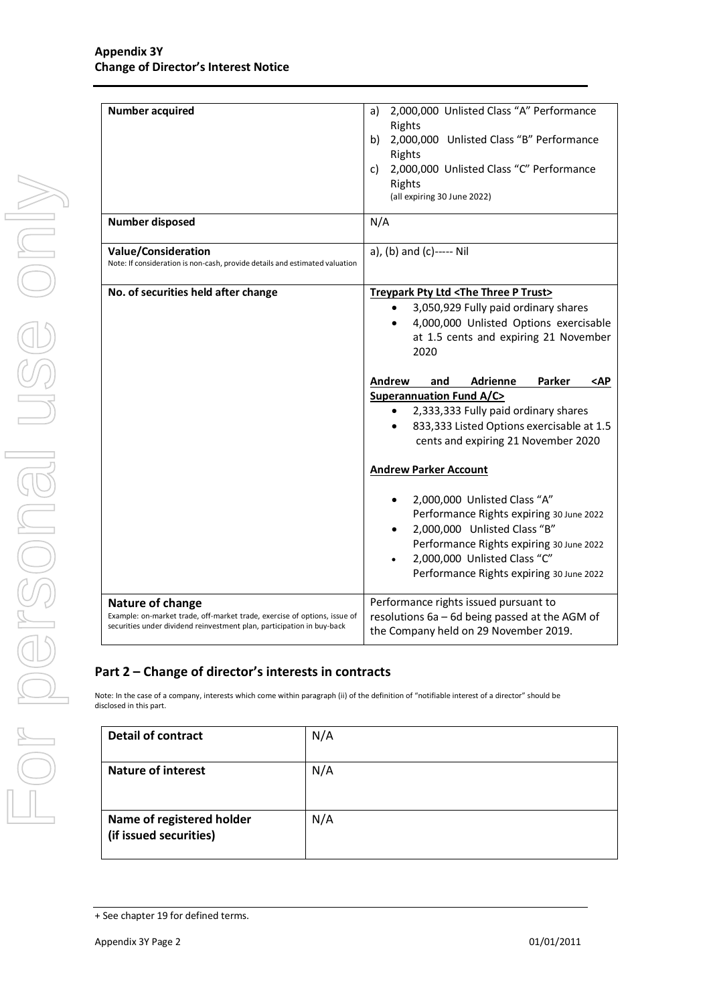| <b>Number acquired</b>                                                                                                                                                  | a) 2,000,000 Unlisted Class "A" Performance<br>Rights<br>2,000,000 Unlisted Class "B" Performance<br>b)<br>Rights<br>2,000,000 Unlisted Class "C" Performance<br>C)<br>Rights<br>(all expiring 30 June 2022)                                                                                                                                                                                                                                                                                                                                                                                                                                                                                                          |  |
|-------------------------------------------------------------------------------------------------------------------------------------------------------------------------|-----------------------------------------------------------------------------------------------------------------------------------------------------------------------------------------------------------------------------------------------------------------------------------------------------------------------------------------------------------------------------------------------------------------------------------------------------------------------------------------------------------------------------------------------------------------------------------------------------------------------------------------------------------------------------------------------------------------------|--|
| Number disposed                                                                                                                                                         | N/A                                                                                                                                                                                                                                                                                                                                                                                                                                                                                                                                                                                                                                                                                                                   |  |
| <b>Value/Consideration</b><br>Note: If consideration is non-cash, provide details and estimated valuation                                                               | a), (b) and (c)----- Nil                                                                                                                                                                                                                                                                                                                                                                                                                                                                                                                                                                                                                                                                                              |  |
| No. of securities held after change                                                                                                                                     | Treypark Pty Ltd <the p="" three="" trust=""><br/>3,050,929 Fully paid ordinary shares<br/>4,000,000 Unlisted Options exercisable<br/>at 1.5 cents and expiring 21 November<br/>2020<br/><b>Adrienne</b><br/>Parker<br/>Andrew<br/>and<br/><math>&lt;</math>AP<br/><b>Superannuation Fund A/C&gt;</b><br/>2,333,333 Fully paid ordinary shares<br/>833,333 Listed Options exercisable at 1.5<br/>cents and expiring 21 November 2020<br/><b>Andrew Parker Account</b><br/>2,000,000 Unlisted Class "A"<br/>Performance Rights expiring 30 June 2022<br/>2,000,000 Unlisted Class "B"<br/>Performance Rights expiring 30 June 2022<br/>2,000,000 Unlisted Class "C"<br/>Performance Rights expiring 30 June 2022</the> |  |
| Nature of change<br>Example: on-market trade, off-market trade, exercise of options, issue of<br>securities under dividend reinvestment plan, participation in buy-back | Performance rights issued pursuant to<br>resolutions 6a - 6d being passed at the AGM of<br>the Company held on 29 November 2019.                                                                                                                                                                                                                                                                                                                                                                                                                                                                                                                                                                                      |  |

### **Part 2 – Change of director's interests in contracts**

Note: In the case of a company, interests which come within paragraph (ii) of the definition of "notifiable interest of a director" should be disclosed in this part.

| <b>Detail of contract</b>                           | N/A |
|-----------------------------------------------------|-----|
| <b>Nature of interest</b>                           | N/A |
| Name of registered holder<br>(if issued securities) | N/A |

<sup>+</sup> See chapter 19 for defined terms.